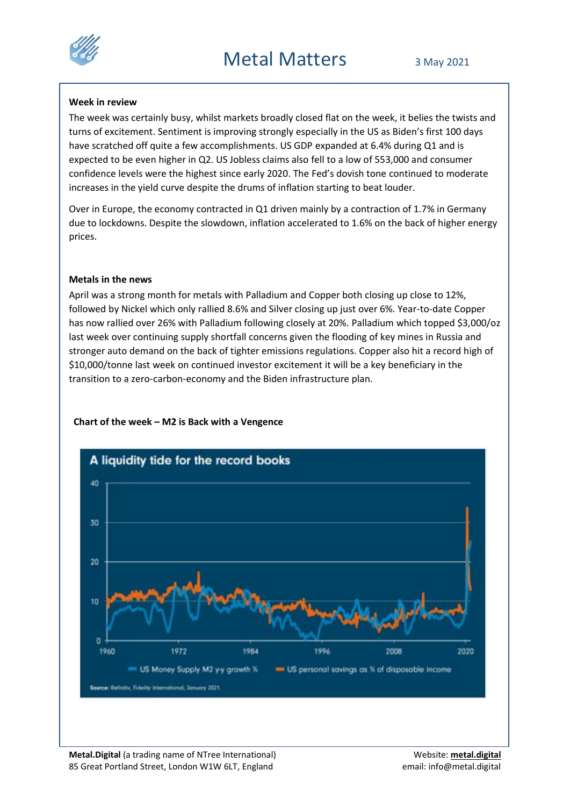

### **Week in review**

The week was certainly busy, whilst markets broadly closed flat on the week, it belies the twists and turns of excitement. Sentiment is improving strongly especially in the US as Biden's first 100 days have scratched off quite a few accomplishments. US GDP expanded at 6.4% during Q1 and is expected to be even higher in Q2. US Jobless claims also fell to a low of 553,000 and consumer confidence levels were the highest since early 2020. The Fed's dovish tone continued to moderate increases in the yield curve despite the drums of inflation starting to beat louder.

Over in Europe, the economy contracted in Q1 driven mainly by a contraction of 1.7% in Germany due to lockdowns. Despite the slowdown, inflation accelerated to 1.6% on the back of higher energy prices.

# **Metals in the news**

April was a strong month for metals with Palladium and Copper both closing up close to 12%, followed by Nickel which only rallied 8.6% and Silver closing up just over 6%. Year-to-date Copper has now rallied over 26% with Palladium following closely at 20%. Palladium which topped \$3,000/oz last week over continuing supply shortfall concerns given the flooding of key mines in Russia and stronger auto demand on the back of tighter emissions regulations. Copper also hit a record high of \$10,000/tonne last week on continued investor excitement it will be a key beneficiary in the transition to a zero-carbon-economy and the Biden infrastructure plan.

# **Chart of the week – M2 is Back with a Vengence**

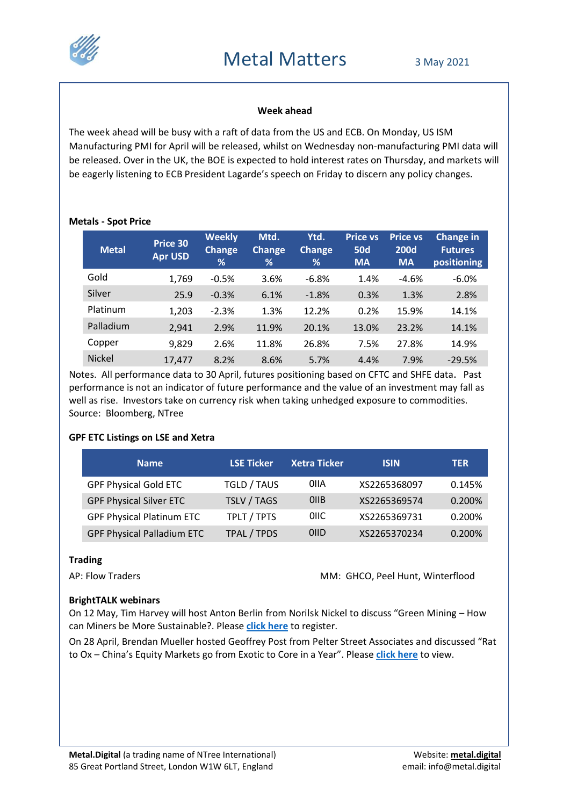

### **Week ahead**

The week ahead will be busy with a raft of data from the US and ECB. On Monday, US ISM Manufacturing PMI for April will be released, whilst on Wednesday non-manufacturing PMI data will be released. Over in the UK, the BOE is expected to hold interest rates on Thursday, and markets will be eagerly listening to ECB President Lagarde's speech on Friday to discern any policy changes.

#### **Metals - Spot Price**

| <b>Metal</b>  | Price 30<br><b>Apr USD</b> | <b>Weekly</b><br><b>Change</b><br>% | Mtd.<br>Change<br>% | Ytd.<br>Change<br>% | <b>Price vs</b><br><b>50d</b><br><b>MA</b> | <b>Price vs</b><br><b>200d</b><br><b>MA</b> | Change in<br><b>Futures</b><br>positioning |
|---------------|----------------------------|-------------------------------------|---------------------|---------------------|--------------------------------------------|---------------------------------------------|--------------------------------------------|
| Gold          | 1,769                      | $-0.5%$                             | 3.6%                | $-6.8%$             | 1.4%                                       | $-4.6%$                                     | $-6.0\%$                                   |
| Silver        | 25.9                       | $-0.3%$                             | 6.1%                | $-1.8%$             | 0.3%                                       | 1.3%                                        | 2.8%                                       |
| Platinum      | 1,203                      | $-2.3%$                             | 1.3%                | 12.2%               | 0.2%                                       | 15.9%                                       | 14.1%                                      |
| Palladium     | 2,941                      | 2.9%                                | 11.9%               | 20.1%               | 13.0%                                      | 23.2%                                       | 14.1%                                      |
| Copper        | 9,829                      | 2.6%                                | 11.8%               | 26.8%               | 7.5%                                       | 27.8%                                       | 14.9%                                      |
| <b>Nickel</b> | 17.477                     | 8.2%                                | 8.6%                | 5.7%                | 4.4%                                       | 7.9%                                        | $-29.5%$                                   |

Notes. All performance data to 30 April, futures positioning based on CFTC and SHFE data. Past performance is not an indicator of future performance and the value of an investment may fall as well as rise. Investors take on currency risk when taking unhedged exposure to commodities. Source: Bloomberg, NTree

# **GPF ETC Listings on LSE and Xetra**

| <b>Name</b>                       | <b>LSE Ticker</b>  | <b>Xetra Ticker</b> | <b>ISIN</b>  | <b>TER</b> |
|-----------------------------------|--------------------|---------------------|--------------|------------|
| <b>GPF Physical Gold ETC</b>      | <b>TGLD / TAUS</b> | 0IIA                | XS2265368097 | 0.145%     |
| <b>GPF Physical Silver ETC</b>    | <b>TSLV / TAGS</b> | 0 <sub>I</sub> IB   | XS2265369574 | 0.200%     |
| <b>GPF Physical Platinum ETC</b>  | TPLT / TPTS        | OIIC.               | XS2265369731 | 0.200%     |
| <b>GPF Physical Palladium ETC</b> | TPAL / TPDS        | 0IID                | XS2265370234 | 0.200%     |

#### **Trading**

AP: Flow Traders **MM: GHCO, Peel Hunt, Winterflood** 

#### **BrightTALK webinars**

On 12 May, Tim Harvey will host Anton Berlin from Norilsk Nickel to discuss "Green Mining – How can Miners be More Sustainable?. Please **[click here](https://www.brighttalk.com/webcast/17849/473882?utm_source=website_events)** to register.

On 28 April, Brendan Mueller hosted Geoffrey Post from Pelter Street Associates and discussed "Rat to Ox – China's Equity Markets go from Exotic to Core in a Year". Please **[click here](https://www.brighttalk.com/webcast/17849/473459?utm_source=website_events)** to view.